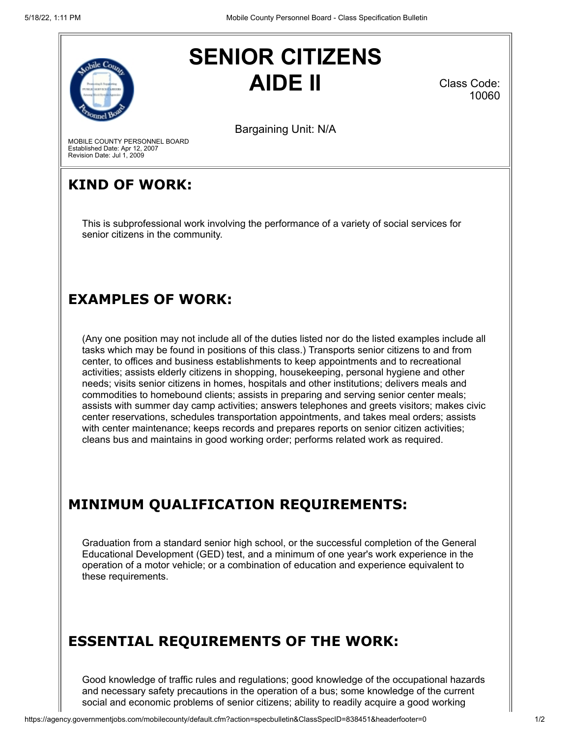

# **SENIOR CITIZENS AIDE II**

Class Code: 10060

Bargaining Unit: N/A

MOBILE COUNTY PERSONNEL BOARD Established Date: Apr 12, 2007 Revision Date: Jul 1, 2009

### **KIND OF WORK:**

This is subprofessional work involving the performance of a variety of social services for senior citizens in the community.

#### **EXAMPLES OF WORK:**

(Any one position may not include all of the duties listed nor do the listed examples include all tasks which may be found in positions of this class.) Transports senior citizens to and from center, to offices and business establishments to keep appointments and to recreational activities; assists elderly citizens in shopping, housekeeping, personal hygiene and other needs; visits senior citizens in homes, hospitals and other institutions; delivers meals and commodities to homebound clients; assists in preparing and serving senior center meals; assists with summer day camp activities; answers telephones and greets visitors; makes civic center reservations, schedules transportation appointments, and takes meal orders; assists with center maintenance; keeps records and prepares reports on senior citizen activities; cleans bus and maintains in good working order; performs related work as required.

# **MINIMUM QUALIFICATION REQUIREMENTS:**

Graduation from a standard senior high school, or the successful completion of the General Educational Development (GED) test, and a minimum of one year's work experience in the operation of a motor vehicle; or a combination of education and experience equivalent to these requirements.

# **ESSENTIAL REQUIREMENTS OF THE WORK:**

Good knowledge of traffic rules and regulations; good knowledge of the occupational hazards and necessary safety precautions in the operation of a bus; some knowledge of the current social and economic problems of senior citizens; ability to readily acquire a good working